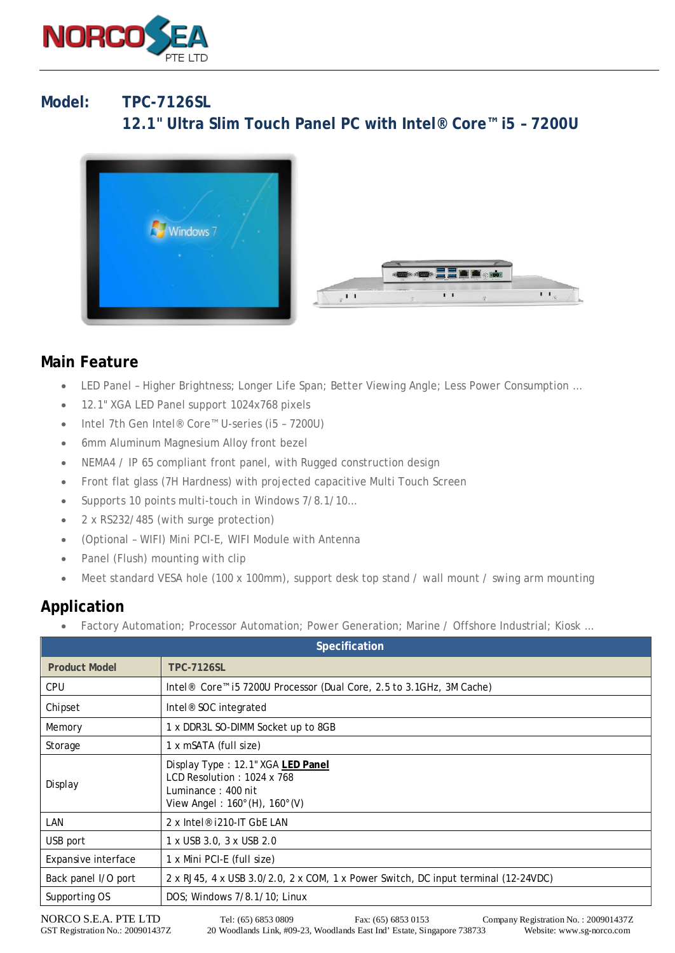

## **Model: TPC-7126SL 12.1" Ultra Slim Touch Panel PC with Intel® Core™ i5 – 7200U**



## **Main Feature**

- LED Panel Higher Brightness; Longer Life Span; Better Viewing Angle; Less Power Consumption …
- 12.1" XGA LED Panel support 1024x768 pixels
- Intel 7th Gen Intel® Core™ U-series (i5 7200U)
- 6mm Aluminum Magnesium Alloy front bezel
- NEMA4 / IP 65 compliant front panel, with Rugged construction design
- Front flat glass (7H Hardness) with projected capacitive Multi Touch Screen
- Supports 10 points multi-touch in Windows 7/8.1/10...
- 2 x RS232/485 (with surge protection)
- (Optional WIFI) Mini PCI-E, WIFI Module with Antenna
- Panel (Flush) mounting with clip
- Meet standard VESA hole (100 x 100mm), support desk top stand / wall mount / swing arm mounting

## **Application**

Factory Automation; Processor Automation; Power Generation; Marine / Offshore Industrial; Kiosk ...

| Specification        |                                                                                                                                           |
|----------------------|-------------------------------------------------------------------------------------------------------------------------------------------|
| <b>Product Model</b> | <b>TPC-7126SL</b>                                                                                                                         |
| <b>CPU</b>           | Intel <sup>®</sup> Core <sup>™</sup> i5 7200U Processor (Dual Core, 2.5 to 3.1GHz, 3M Cache)                                              |
| Chipset              | Intel <sup>®</sup> SOC integrated                                                                                                         |
| Memory               | 1 x DDR3L SO-DIMM Socket up to 8GB                                                                                                        |
| Storage              | 1 x mSATA (full size)                                                                                                                     |
| Display              | Display Type: 12.1" XGA LED Panel<br>LCD Resolution: 1024 x 768<br>Luminance: 400 nit<br>View Angel: $160^{\circ}$ (H), $160^{\circ}$ (V) |
| LAN                  | 2 x Intel® i210-IT GbE LAN                                                                                                                |
| USB port             | 1 x USB 3.0, 3 x USB 2.0                                                                                                                  |
| Expansive interface  | 1 x Mini PCI-E (full size)                                                                                                                |
| Back panel I/O port  | 2 x RJ45, 4 x USB 3.0/2.0, 2 x COM, 1 x Power Switch, DC input terminal (12-24VDC)                                                        |
| Supporting OS        | DOS; Windows 7/8.1/10; Linux                                                                                                              |

NORCO S.E.A. PTE LTD Tel: (65) 6853 0809 Fax: (65) 6853 0153 Company Registration No. : 200901437Z<br>GST Registration No.: 200901437Z 20 Woodlands Link, #09-23, Woodlands East Ind' Estate, Singapore 738733 Website: www.sg-no 20 Woodlands Link, #09-23, Woodlands East Ind' Estate, Singapore 738733